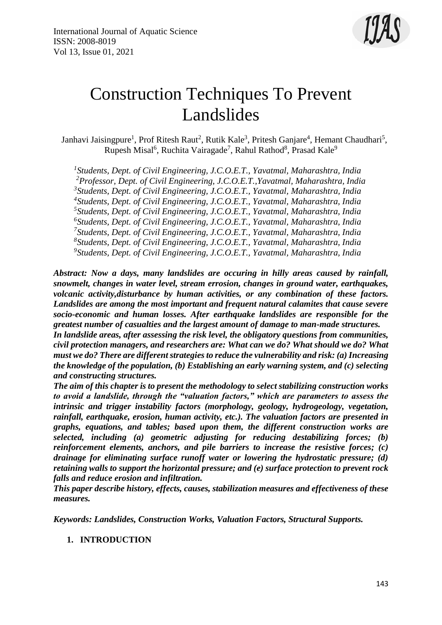

# Construction Techniques To Prevent Landslides

Janhavi Jaisingpure<sup>1</sup>, Prof Ritesh Raut<sup>2</sup>, Rutik Kale<sup>3</sup>, Pritesh Ganjare<sup>4</sup>, Hemant Chaudhari<sup>5</sup>, Rupesh Misal<sup>6</sup>, Ruchita Vairagade<sup>7</sup>, Rahul Rathod<sup>8</sup>, Prasad Kale<sup>9</sup>

 *Students, Dept. of Civil Engineering, J.C.O.E.T., Yavatmal, Maharashtra, India Professor, Dept. of Civil Engineering, J.C.O.E.T.,Yavatmal, Maharashtra, India Students, Dept. of Civil Engineering, J.C.O.E.T., Yavatmal, Maharashtra, India Students, Dept. of Civil Engineering, J.C.O.E.T., Yavatmal, Maharashtra, India Students, Dept. of Civil Engineering, J.C.O.E.T., Yavatmal, Maharashtra, India Students, Dept. of Civil Engineering, J.C.O.E.T., Yavatmal, Maharashtra, India Students, Dept. of Civil Engineering, J.C.O.E.T., Yavatmal, Maharashtra, India Students, Dept. of Civil Engineering, J.C.O.E.T., Yavatmal, Maharashtra, India Students, Dept. of Civil Engineering, J.C.O.E.T., Yavatmal, Maharashtra, India*

*Abstract: Now a days, many landslides are occuring in hilly areas caused by rainfall, snowmelt, changes in water level, stream errosion, changes in ground water, earthquakes, volcanic activity,disturbance by human activities, or any combination of these factors. Landslides are among the most important and frequent natural calamites that cause severe socio-economic and human losses. After earthquake landslides are responsible for the greatest number of casualties and the largest amount of damage to man-made structures. In landslide areas, after assessing the risk level, the obligatory questions from communities,* 

*civil protection managers, and researchers are: What can we do? What should we do? What must we do? There are different strategies to reduce the vulnerability and risk: (a) Increasing the knowledge of the population, (b) Establishing an early warning system, and (c) selecting and constructing structures.*

*The aim of this chapter is to present the methodology to select stabilizing construction works to avoid a landslide, through the "valuation factors," which are parameters to assess the intrinsic and trigger instability factors (morphology, geology, hydrogeology, vegetation, rainfall, earthquake, erosion, human activity, etc.). The valuation factors are presented in graphs, equations, and tables; based upon them, the different construction works are selected, including (a) geometric adjusting for reducing destabilizing forces; (b) reinforcement elements, anchors, and pile barriers to increase the resistive forces; (c) drainage for eliminating surface runoff water or lowering the hydrostatic pressure; (d) retaining walls to support the horizontal pressure; and (e) surface protection to prevent rock falls and reduce erosion and infiltration.*

*This paper describe history, effects, causes, stabilization measures and effectiveness of these measures.*

*Keywords: Landslides, Construction Works, Valuation Factors, Structural Supports.* 

**1. INTRODUCTION**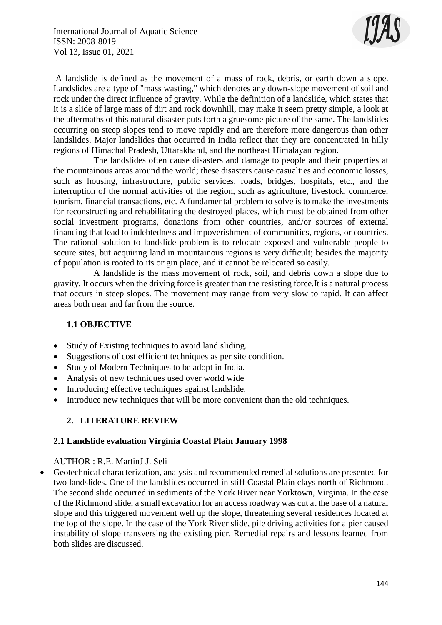

A landslide is defined as the movement of a mass of rock, debris, or earth down a slope. Landslides are a type of "mass wasting," which denotes any down-slope movement of soil and rock under the direct influence of gravity. While the definition of a landslide, which states that it is a slide of large mass of dirt and rock downhill, may make it seem pretty simple, a look at the aftermaths of this natural disaster puts forth a gruesome picture of the same. The landslides occurring on steep slopes tend to move rapidly and are therefore more dangerous than other landslides. Major landslides that occurred in India reflect that they are concentrated in hilly regions of Himachal Pradesh, Uttarakhand, and the northeast Himalayan region.

 The landslides often cause disasters and damage to people and their properties at the mountainous areas around the world; these disasters cause casualties and economic losses, such as housing, infrastructure, public services, roads, bridges, hospitals, etc., and the interruption of the normal activities of the region, such as agriculture, livestock, commerce, tourism, financial transactions, etc. A fundamental problem to solve is to make the investments for reconstructing and rehabilitating the destroyed places, which must be obtained from other social investment programs, donations from other countries, and/or sources of external financing that lead to indebtedness and impoverishment of communities, regions, or countries. The rational solution to landslide problem is to relocate exposed and vulnerable people to secure sites, but acquiring land in mountainous regions is very difficult; besides the majority of population is rooted to its origin place, and it cannot be relocated so easily.

 A landslide is the mass movement of rock, soil, and debris down a slope due to gravity. It occurs when the driving force is greater than the resisting force.It is a natural process that occurs in steep slopes. The movement may range from very slow to rapid. It can affect areas both near and far from the source.

# **1.1 OBJECTIVE**

- Study of Existing techniques to avoid land sliding.
- Suggestions of cost efficient techniques as per site condition.
- Study of Modern Techniques to be adopt in India.
- Analysis of new techniques used over world wide
- Introducing effective techniques against landslide.
- Introduce new techniques that will be more convenient than the old techniques.

# **2. LITERATURE REVIEW**

#### **2.1 Landslide evaluation Virginia Coastal Plain January 1998**

#### AUTHOR : R.E. MartinJ J. Seli

 Geotechnical characterization, analysis and recommended remedial solutions are presented for two landslides. One of the landslides occurred in stiff Coastal Plain clays north of Richmond. The second slide occurred in sediments of the York River near Yorktown, Virginia. In the case of the Richmond slide, a small excavation for an access roadway was cut at the base of a natural slope and this triggered movement well up the slope, threatening several residences located at the top of the slope. In the case of the York River slide, pile driving activities for a pier caused instability of slope transversing the existing pier. Remedial repairs and lessons learned from both slides are discussed.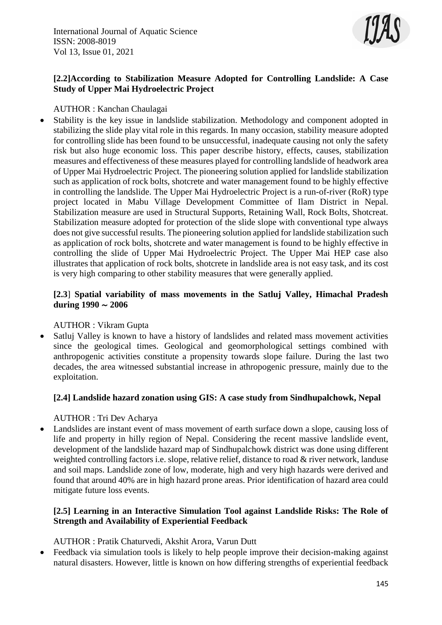

# **[2.2]According to Stabilization Measure Adopted for Controlling Landslide: A Case Study of Upper Mai Hydroelectric Project**

#### AUTHOR : Kanchan Chaulagai

 Stability is the key issue in landslide stabilization. Methodology and component adopted in stabilizing the slide play vital role in this regards. In many occasion, stability measure adopted for controlling slide has been found to be unsuccessful, inadequate causing not only the safety risk but also huge economic loss. This paper describe history, effects, causes, stabilization measures and effectiveness of these measures played for controlling landslide of headwork area of Upper Mai Hydroelectric Project. The pioneering solution applied for landslide stabilization such as application of rock bolts, shotcrete and water management found to be highly effective in controlling the landslide. The Upper Mai Hydroelectric Project is a run-of-river (RoR) type project located in Mabu Village Development Committee of Ilam District in Nepal. Stabilization measure are used in Structural Supports, Retaining Wall, Rock Bolts, Shotcreat. Stabilization measure adopted for protection of the slide slope with conventional type always does not give successful results. The pioneering solution applied for landslide stabilization such as application of rock bolts, shotcrete and water management is found to be highly effective in controlling the slide of Upper Mai Hydroelectric Project. The Upper Mai HEP case also illustrates that application of rock bolts, shotcrete in landslide area is not easy task, and its cost is very high comparing to other stability measures that were generally applied.

#### **[2.3**] **Spatial variability of mass movements in the Satluj Valley, Himachal Pradesh during 1990** ∼ **2006**

# AUTHOR : Vikram Gupta

 Satluj Valley is known to have a history of landslides and related mass movement activities since the geological times. Geological and geomorphological settings combined with anthropogenic activities constitute a propensity towards slope failure. During the last two decades, the area witnessed substantial increase in athropogenic pressure, mainly due to the exploitation.

# **[2.4] Landslide hazard zonation using GIS: A case study from Sindhupalchowk, Nepal**

#### AUTHOR : Tri Dev Acharya

 Landslides are instant event of mass movement of earth surface down a slope, causing loss of life and property in hilly region of Nepal. Considering the recent massive landslide event, development of the landslide hazard map of Sindhupalchowk district was done using different weighted controlling factors i.e. slope, relative relief, distance to road & river network, landuse and soil maps. Landslide zone of low, moderate, high and very high hazards were derived and found that around 40% are in high hazard prone areas. Prior identification of hazard area could mitigate future loss events.

# **[2.5] Learning in an Interactive Simulation Tool against Landslide Risks: The Role of Strength and Availability of Experiential Feedback**

AUTHOR : Pratik Chaturvedi, Akshit Arora, Varun Dutt

 Feedback via simulation tools is likely to help people improve their decision-making against natural disasters. However, little is known on how differing strengths of experiential feedback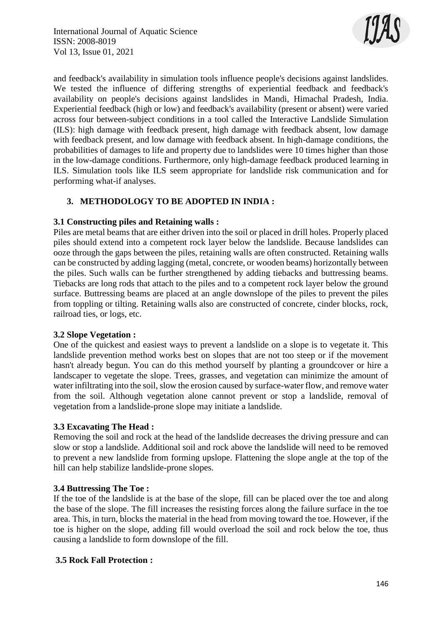

and feedback's availability in simulation tools influence people's decisions against landslides. We tested the influence of differing strengths of experiential feedback and feedback's availability on people's decisions against landslides in Mandi, Himachal Pradesh, India. Experiential feedback (high or low) and feedback's availability (present or absent) were varied across four between-subject conditions in a tool called the Interactive Landslide Simulation (ILS): high damage with feedback present, high damage with feedback absent, low damage with feedback present, and low damage with feedback absent. In high-damage conditions, the probabilities of damages to life and property due to landslides were 10 times higher than those in the low-damage conditions. Furthermore, only high-damage feedback produced learning in ILS. Simulation tools like ILS seem appropriate for landslide risk communication and for performing what-if analyses.

# **3. METHODOLOGY TO BE ADOPTED IN INDIA :**

#### **3.1 Constructing piles and Retaining walls :**

Piles are metal beams that are either driven into the soil or placed in drill holes. Properly placed piles should extend into a competent rock layer below the landslide. Because landslides can ooze through the gaps between the piles, retaining walls are often constructed. Retaining walls can be constructed by adding lagging (metal, concrete, or wooden beams) horizontally between the piles. Such walls can be further strengthened by adding tiebacks and buttressing beams. Tiebacks are long rods that attach to the piles and to a competent rock layer below the ground surface. Buttressing beams are placed at an angle downslope of the piles to prevent the piles from toppling or tilting. Retaining walls also are constructed of concrete, cinder blocks, rock, railroad ties, or logs, etc.

#### **3.2 Slope Vegetation :**

One of the quickest and easiest ways to prevent a landslide on a slope is to vegetate it. This landslide prevention method works best on slopes that are not too steep or if the movement hasn't already begun. You can do this method yourself by planting a groundcover or hire a landscaper to vegetate the slope. Trees, grasses, and vegetation can minimize the amount of water infiltrating into the soil, slow the erosion caused by surface-water flow, and remove water from the soil. Although vegetation alone cannot prevent or stop a landslide, removal of vegetation from a landslide-prone slope may initiate a landslide.

# **3.3 Excavating The Head :**

Removing the soil and rock at the head of the landslide decreases the driving pressure and can slow or stop a landslide. Additional soil and rock above the landslide will need to be removed to prevent a new landslide from forming upslope. Flattening the slope angle at the top of the hill can help stabilize landslide-prone slopes.

# **3.4 Buttressing The Toe :**

If the toe of the landslide is at the base of the slope, fill can be placed over the toe and along the base of the slope. The fill increases the resisting forces along the failure surface in the toe area. This, in turn, blocks the material in the head from moving toward the toe. However, if the toe is higher on the slope, adding fill would overload the soil and rock below the toe, thus causing a landslide to form downslope of the fill.

# **3.5 Rock Fall Protection :**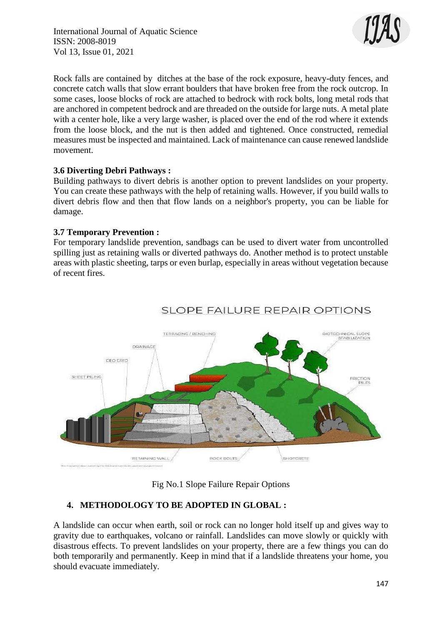International Journal of Aquatic Science ISSN: 2008-8019 Vol 13, Issue 01, 2021



Rock falls are contained by ditches at the base of the rock exposure, heavy-duty fences, and concrete catch walls that slow errant boulders that have broken free from the rock outcrop. In some cases, loose blocks of rock are attached to bedrock with rock bolts, long metal rods that are anchored in competent bedrock and are threaded on the outside for large nuts. A metal plate with a center hole, like a very large washer, is placed over the end of the rod where it extends from the loose block, and the nut is then added and tightened. Once constructed, remedial measures must be inspected and maintained. Lack of maintenance can cause renewed landslide movement.

#### **3.6 Diverting Debri Pathways :**

Building pathways to divert debris is another option to prevent landslides on your property. You can create these pathways with the help of retaining walls. However, if you build walls to divert debris flow and then that flow lands on a neighbor's property, you can be liable for damage.

#### **3.7 Temporary Prevention :**

For temporary landslide prevention, sandbags can be used to divert water from uncontrolled spilling just as retaining walls or diverted pathways do. Another method is to protect unstable areas with plastic sheeting, tarps or even burlap, especially in areas without vegetation because of recent fires.



# **SLOPE FAILURE REPAIR OPTIONS**

Fig No.1 Slope Failure Repair Options

# **4. METHODOLOGY TO BE ADOPTED IN GLOBAL :**

A landslide can occur when earth, soil or rock can no longer hold itself up and gives way to gravity due to earthquakes, volcano or rainfall. Landslides can move slowly or quickly with disastrous effects. To prevent landslides on your property, there are a few things you can do both temporarily and permanently. Keep in mind that if a landslide threatens your home, you should evacuate immediately.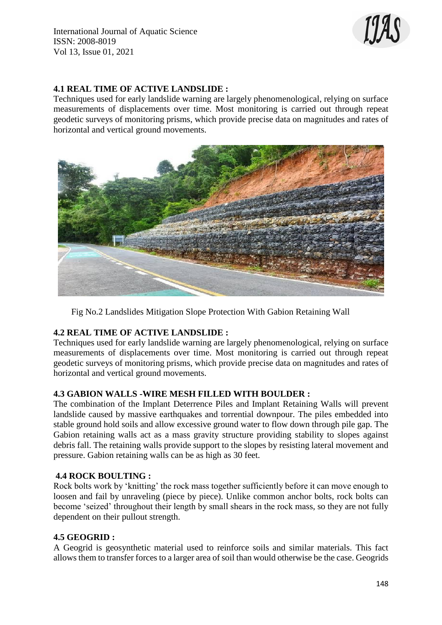

# **4.1 REAL TIME OF ACTIVE LANDSLIDE :**

Techniques used for early landslide warning are largely phenomenological, relying on surface measurements of displacements over time. Most monitoring is carried out through repeat geodetic surveys of monitoring prisms, which provide precise data on magnitudes and rates of horizontal and vertical ground movements.



Fig No.2 Landslides Mitigation Slope Protection With Gabion Retaining Wall

# **4.2 REAL TIME OF ACTIVE LANDSLIDE :**

Techniques used for early landslide warning are largely phenomenological, relying on surface measurements of displacements over time. Most monitoring is carried out through repeat geodetic surveys of monitoring prisms, which provide precise data on magnitudes and rates of horizontal and vertical ground movements.

# **4.3 GABION WALLS -WIRE MESH FILLED WITH BOULDER :**

The combination of the Implant Deterrence Piles and Implant Retaining Walls will prevent landslide caused by massive earthquakes and torrential downpour. The piles embedded into stable ground hold soils and allow excessive ground water to flow down through pile gap. The Gabion retaining walls act as a mass gravity structure providing stability to slopes against debris fall. The retaining walls provide support to the slopes by resisting lateral movement and pressure. Gabion retaining walls can be as high as 30 feet.

# **4.4 ROCK BOULTING :**

Rock bolts work by 'knitting' the rock mass together sufficiently before it can move enough to loosen and fail by unraveling (piece by piece). Unlike common anchor bolts, rock bolts can become 'seized' throughout their length by small shears in the rock mass, so they are not fully dependent on their pullout strength.

#### **4.5 GEOGRID :**

A Geogrid is geosynthetic material used to reinforce soils and similar materials. This fact allows them to transfer forces to a larger area of soil than would otherwise be the case. Geogrids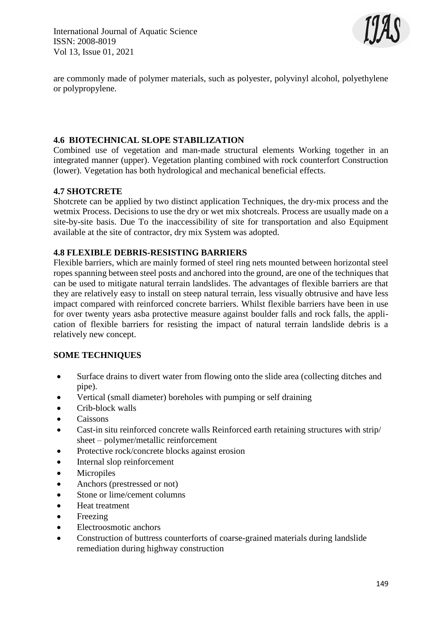International Journal of Aquatic Science ISSN: 2008-8019 Vol 13, Issue 01, 2021



are commonly made of polymer materials, such as polyester, polyvinyl alcohol, polyethylene or polypropylene.

# **4.6 BIOTECHNICAL SLOPE STABILIZATION**

Combined use of vegetation and man-made structural elements Working together in an integrated manner (upper). Vegetation planting combined with rock counterfort Construction (lower). Vegetation has both hydrological and mechanical beneficial effects.

#### **4.7 SHOTCRETE**

Shotcrete can be applied by two distinct application Techniques, the dry-mix process and the wetmix Process. Decisions to use the dry or wet mix shotcreals. Process are usually made on a site-by-site basis. Due To the inaccessibility of site for transportation and also Equipment available at the site of contractor, dry mix System was adopted.

#### **4.8 FLEXIBLE DEBRIS-RESISTING BARRIERS**

Flexible barriers, which are mainly formed of steel ring nets mounted between horizontal steel ropes spanning between steel posts and anchored into the ground, are one of the techniques that can be used to mitigate natural terrain landslides. The advantages of flexible barriers are that they are relatively easy to install on steep natural terrain, less visually obtrusive and have less impact compared with reinforced concrete barriers. Whilst flexible barriers have been in use for over twenty years asba protective measure against boulder falls and rock falls, the application of flexible barriers for resisting the impact of natural terrain landslide debris is a relatively new concept.

#### **SOME TECHNIQUES**

- Surface drains to divert water from flowing onto the slide area (collecting ditches and pipe).
- Vertical (small diameter) boreholes with pumping or self draining
- Crib-block walls
- Caissons
- Cast-in situ reinforced concrete walls Reinforced earth retaining structures with strip/ sheet – polymer/metallic reinforcement
- Protective rock/concrete blocks against erosion
- Internal slop reinforcement
- Micropiles
- Anchors (prestressed or not)
- Stone or lime/cement columns
- Heat treatment
- Freezing
- Electroosmotic anchors
- Construction of buttress counterforts of coarse-grained materials during landslide remediation during highway construction